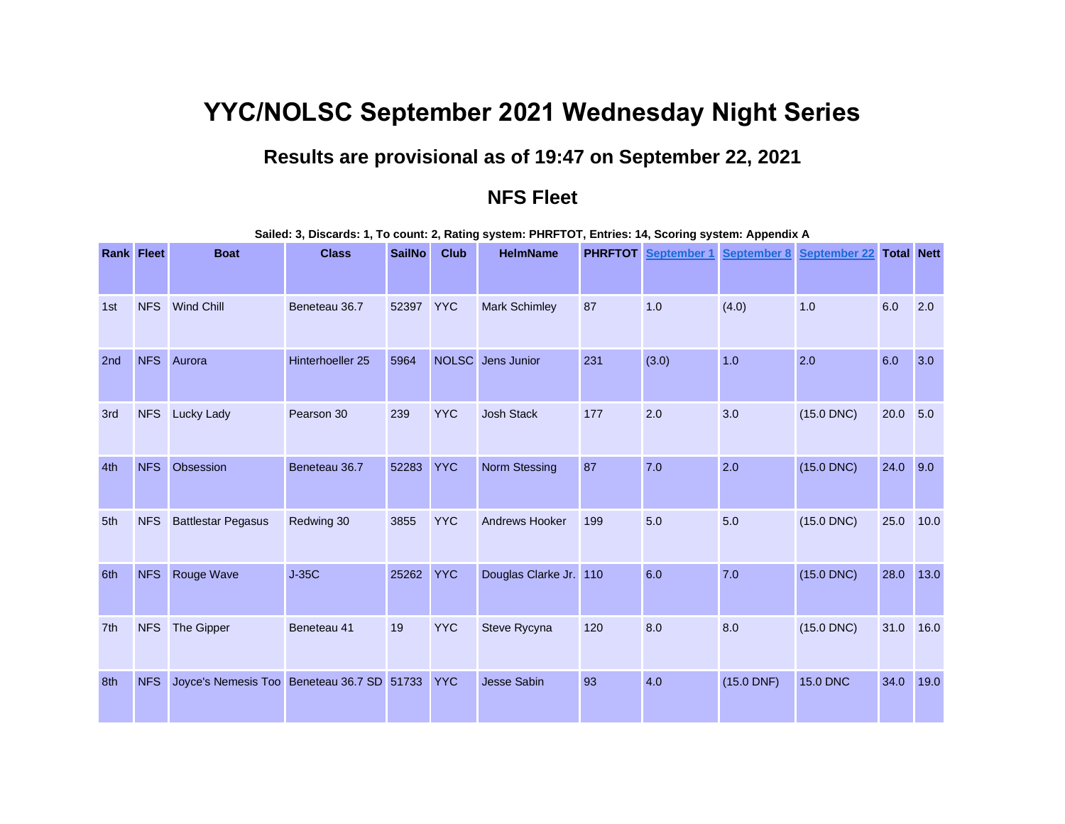# **YYC/NOLSC September 2021 Wednesday Night Series**

#### **Results are provisional as of 19:47 on September 22, 2021**

#### **NFS Fleet**

|     | <b>Rank Fleet</b> | <b>Boat</b>                                | <b>Class</b>     | <b>SailNo</b> | <b>Club</b> | <b>HelmName</b>        | <b>PHRFTOT</b> | <b>September 1</b> | <b>September 8</b> | <b>September 22</b> | <b>Total Nett</b> |      |
|-----|-------------------|--------------------------------------------|------------------|---------------|-------------|------------------------|----------------|--------------------|--------------------|---------------------|-------------------|------|
|     |                   |                                            |                  |               |             |                        |                |                    |                    |                     |                   |      |
| 1st | <b>NFS</b>        | <b>Wind Chill</b>                          | Beneteau 36.7    | 52397         | <b>YYC</b>  | <b>Mark Schimley</b>   | 87             | 1.0                | (4.0)              | 1.0                 | 6.0               | 2.0  |
| 2nd | <b>NFS</b>        | Aurora                                     | Hinterhoeller 25 | 5964          |             | NOLSC Jens Junior      | 231            | (3.0)              | 1.0                | 2.0                 | 6.0               | 3.0  |
| 3rd | <b>NFS</b>        | Lucky Lady                                 | Pearson 30       | 239           | <b>YYC</b>  | <b>Josh Stack</b>      | 177            | 2.0                | 3.0                | $(15.0$ DNC)        | 20.0              | 5.0  |
| 4th | <b>NFS</b>        | Obsession                                  | Beneteau 36.7    | 52283         | <b>YYC</b>  | <b>Norm Stessing</b>   | 87             | 7.0                | 2.0                | $(15.0$ DNC)        | 24.0              | 9.0  |
| 5th | <b>NFS</b>        | <b>Battlestar Pegasus</b>                  | Redwing 30       | 3855          | <b>YYC</b>  | Andrews Hooker         | 199            | 5.0                | 5.0                | $(15.0$ DNC)        | 25.0              | 10.0 |
| 6th | <b>NFS</b>        | Rouge Wave                                 | $J-35C$          | 25262         | <b>YYC</b>  | Douglas Clarke Jr. 110 |                | 6.0                | 7.0                | $(15.0$ DNC)        | 28.0              | 13.0 |
| 7th | <b>NFS</b>        | The Gipper                                 | Beneteau 41      | 19            | <b>YYC</b>  | Steve Rycyna           | 120            | 8.0                | 8.0                | $(15.0$ DNC)        | 31.0              | 16.0 |
| 8th | <b>NFS</b>        | Joyce's Nemesis Too Beneteau 36.7 SD 51733 |                  |               | <b>YYC</b>  | <b>Jesse Sabin</b>     | 93             | 4.0                | $(15.0$ DNF)       | <b>15.0 DNC</b>     | 34.0              | 19.0 |

**Sailed: 3, Discards: 1, To count: 2, Rating system: PHRFTOT, Entries: 14, Scoring system: Appendix A**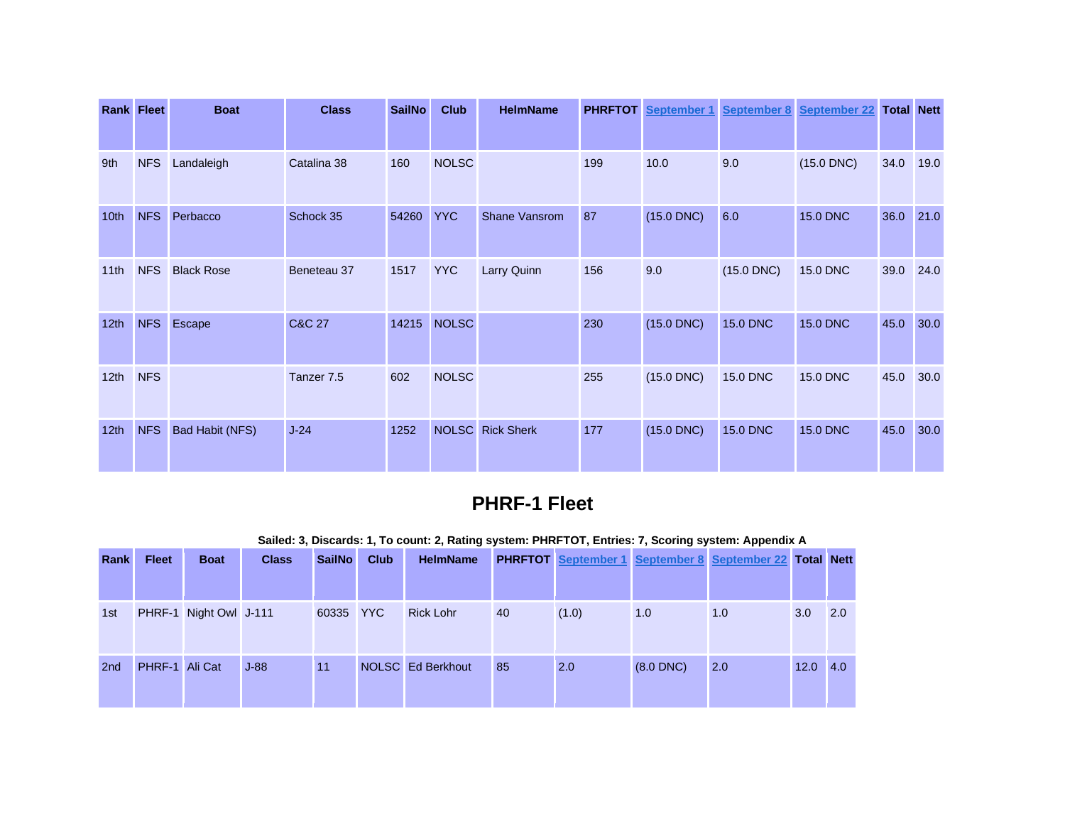|                  | <b>Rank Fleet</b> | <b>Boat</b>       | <b>Class</b>      | <b>SailNo</b> | <b>Club</b>  | <b>HelmName</b>         | <b>PHRFTOT</b> | September 1     | <b>September 8</b> | <b>September 22</b> | <b>Total Nett</b> |      |
|------------------|-------------------|-------------------|-------------------|---------------|--------------|-------------------------|----------------|-----------------|--------------------|---------------------|-------------------|------|
|                  |                   |                   |                   |               |              |                         |                |                 |                    |                     |                   |      |
| 9th              | <b>NFS</b>        | Landaleigh        | Catalina 38       | 160           | <b>NOLSC</b> |                         | 199            | 10.0            | 9.0                | $(15.0$ DNC $)$     | 34.0              | 19.0 |
| 10 <sub>th</sub> | <b>NFS</b>        | Perbacco          | Schock 35         | 54260         | <b>YYC</b>   | Shane Vansrom           | 87             | $(15.0$ DNC)    | 6.0                | <b>15.0 DNC</b>     | 36.0              | 21.0 |
| 11th             | <b>NFS</b>        | <b>Black Rose</b> | Beneteau 37       | 1517          | <b>YYC</b>   | Larry Quinn             | 156            | 9.0             | $(15.0$ DNC)       | <b>15.0 DNC</b>     | 39.0              | 24.0 |
| 12 <sub>th</sub> | <b>NFS</b>        | Escape            | <b>C&amp;C 27</b> | 14215         | <b>NOLSC</b> |                         | 230            | $(15.0$ DNC)    | <b>15.0 DNC</b>    | <b>15.0 DNC</b>     | 45.0              | 30.0 |
| 12 <sub>th</sub> | <b>NFS</b>        |                   | Tanzer 7.5        | 602           | <b>NOLSC</b> |                         | 255            | $(15.0$ DNC)    | <b>15.0 DNC</b>    | <b>15.0 DNC</b>     | 45.0              | 30.0 |
| 12 <sub>th</sub> | <b>NFS</b>        | Bad Habit (NFS)   | $J-24$            | 1252          |              | <b>NOLSC</b> Rick Sherk | 177            | $(15.0$ DNC $)$ | <b>15.0 DNC</b>    | <b>15.0 DNC</b>     | 45.0              | 30.0 |

#### **PHRF-1 Fleet**

#### **Sailed: 3, Discards: 1, To count: 2, Rating system: PHRFTOT, Entries: 7, Scoring system: Appendix A**

| Rank            | <b>Fleet</b>   | <b>Boat</b>            | <b>Class</b> | <b>SailNo</b> | <b>Club</b> | <b>HelmName</b>   |    |       |                | <b>PHRFTOT</b> September 1 September 8 September 22 | <b>Total Nett</b> |                  |
|-----------------|----------------|------------------------|--------------|---------------|-------------|-------------------|----|-------|----------------|-----------------------------------------------------|-------------------|------------------|
|                 |                |                        |              |               |             |                   |    |       |                |                                                     |                   |                  |
| 1st             |                | PHRF-1 Night Owl J-111 |              | 60335 YYC     |             | <b>Rick Lohr</b>  | 40 | (1.0) | 1.0            | 1.0                                                 | 3.0               | $\overline{2.0}$ |
| 2 <sub>nd</sub> | PHRF-1 Ali Cat |                        | $J-88$       | 11            |             | NOLSC Ed Berkhout | 85 | 2.0   | $(8.0$ DNC $)$ | 2.0                                                 | 12.0              | 4.0              |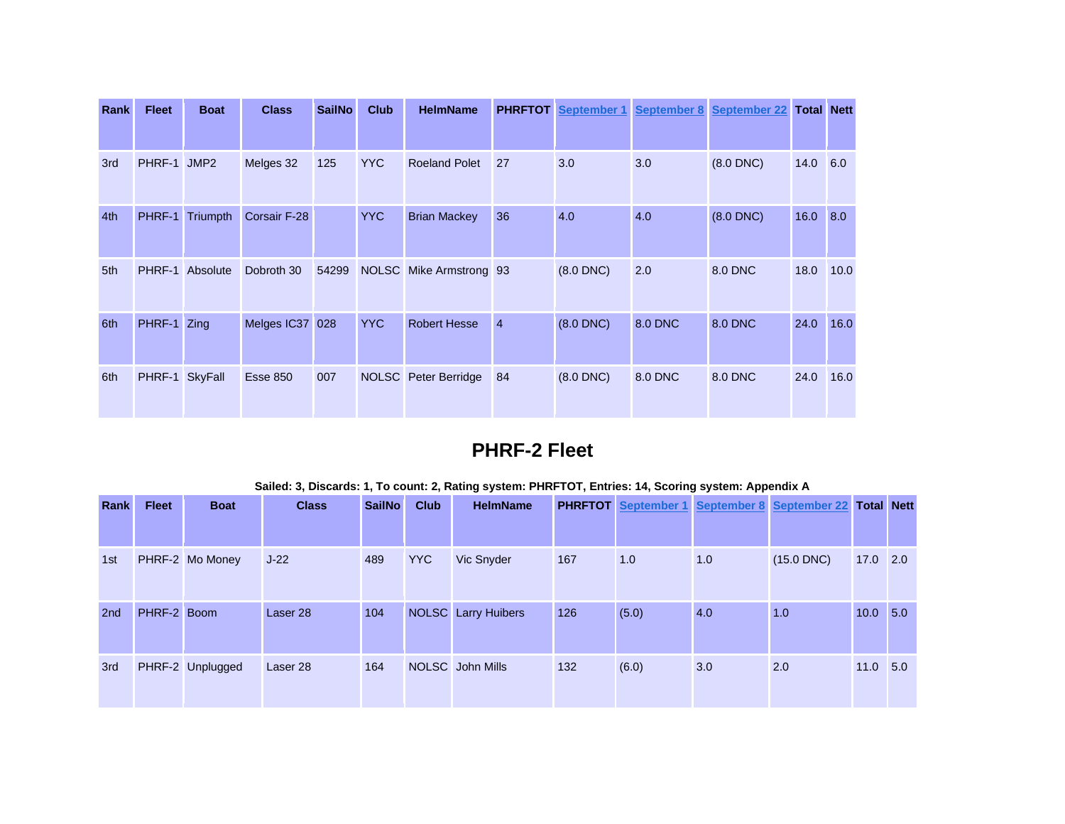| Rank | <b>Fleet</b>   | <b>Boat</b> | <b>Class</b>    | <b>SailNo</b> | <b>Club</b>  | <b>HelmName</b>      | <b>PHRFTOT</b> | <b>September 1</b> | <b>September 8</b> | <b>September 22</b> | <b>Total Nett</b> |      |
|------|----------------|-------------|-----------------|---------------|--------------|----------------------|----------------|--------------------|--------------------|---------------------|-------------------|------|
|      |                |             |                 |               |              |                      |                |                    |                    |                     |                   |      |
| 3rd  | PHRF-1 JMP2    |             | Melges 32       | 125           | <b>YYC</b>   | <b>Roeland Polet</b> | 27             | 3.0                | 3.0                | $(8.0$ DNC $)$      | 14.0              | 6.0  |
| 4th  | PHRF-1         | Triumpth    | Corsair F-28    |               | <b>YYC</b>   | <b>Brian Mackey</b>  | 36             | 4.0                | 4.0                | $(8.0$ DNC $)$      | 16.0              | 8.0  |
| 5th  | PHRF-1         | Absolute    | Dobroth 30      | 54299         | <b>NOLSC</b> | Mike Armstrong 93    |                | $(8.0$ DNC $)$     | 2.0                | 8.0 DNC             | 18.0              | 10.0 |
| 6th  | PHRF-1 Zing    |             | Melges IC37 028 |               | <b>YYC</b>   | <b>Robert Hesse</b>  | $\overline{4}$ | $(8.0$ DNC $)$     | 8.0 DNC            | 8.0 DNC             | 24.0              | 16.0 |
| 6th  | PHRF-1 SkyFall |             | <b>Esse 850</b> | 007           |              | NOLSC Peter Berridge | 84             | $(8.0$ DNC $)$     | 8.0 DNC            | 8.0 DNC             | 24.0              | 16.0 |

#### **PHRF-2 Fleet**

|  |  |  | Sailed: 3, Discards: 1, To count: 2, Rating system: PHRFTOT, Entries: 14, Scoring system: Appendix A |  |
|--|--|--|------------------------------------------------------------------------------------------------------|--|
|  |  |  |                                                                                                      |  |

| Rank | <b>Fleet</b> | <b>Boat</b>      | <b>Class</b>        | <b>SailNo</b> | <b>Club</b> | <b>HelmName</b>            |     |       |     | <b>PHRFTOT</b> September 1 September 8 September 22 | <b>Total Nett</b> |  |
|------|--------------|------------------|---------------------|---------------|-------------|----------------------------|-----|-------|-----|-----------------------------------------------------|-------------------|--|
|      |              |                  |                     |               |             |                            |     |       |     |                                                     |                   |  |
| 1st  |              | PHRF-2 Mo Money  | $J-22$              | 489           | <b>YYC</b>  | Vic Snyder                 | 167 | 1.0   | 1.0 | $(15.0$ DNC $)$                                     | $17.0$ 2.0        |  |
| 2nd  | PHRF-2 Boom  |                  | Laser <sub>28</sub> | 104           |             | <b>NOLSC</b> Larry Huibers | 126 | (5.0) | 4.0 | 1.0                                                 | $10.0$ 5.0        |  |
| 3rd  |              | PHRF-2 Unplugged | Laser <sub>28</sub> | 164           |             | NOLSC John Mills           | 132 | (6.0) | 3.0 | 2.0                                                 | 11.0 5.0          |  |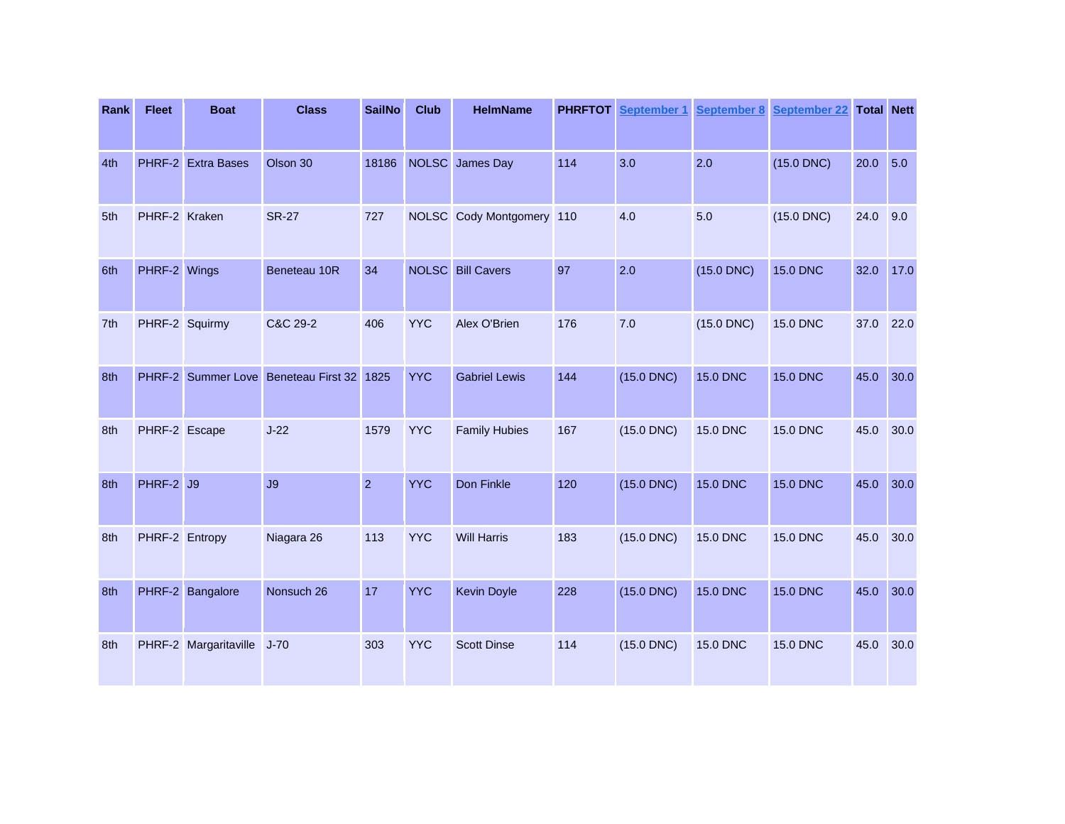| <b>Rank</b>     | <b>Fleet</b>   | <b>Boat</b>           | <b>Class</b>                              | <b>SailNo</b>  | <b>Club</b> | <b>HelmName</b>           | <b>PHRFTOT</b> | <b>September 1</b> | <b>September 8</b> | <b>September 22</b> | <b>Total Nett</b> |      |
|-----------------|----------------|-----------------------|-------------------------------------------|----------------|-------------|---------------------------|----------------|--------------------|--------------------|---------------------|-------------------|------|
|                 |                |                       |                                           |                |             |                           |                |                    |                    |                     |                   |      |
| 4th             |                | PHRF-2 Extra Bases    | Olson 30                                  | 18186          |             | NOLSC James Day           | 114            | 3.0                | 2.0                | $(15.0$ DNC)        | $20.0$ 5.0        |      |
| 5th             | PHRF-2 Kraken  |                       | <b>SR-27</b>                              | 727            |             | NOLSC Cody Montgomery 110 |                | 4.0                | 5.0                | $(15.0$ DNC)        | 24.0              | 9.0  |
| 6th             | PHRF-2 Wings   |                       | Beneteau 10R                              | 34             |             | NOLSC Bill Cavers         | 97             | 2.0                | $(15.0$ DNC)       | <b>15.0 DNC</b>     | 32.0              | 17.0 |
| 7 <sup>th</sup> | PHRF-2 Squirmy |                       | C&C 29-2                                  | 406            | <b>YYC</b>  | Alex O'Brien              | 176            | 7.0                | $(15.0$ DNC)       | <b>15.0 DNC</b>     | 37.0              | 22.0 |
| 8th             |                |                       | PHRF-2 Summer Love Beneteau First 32 1825 |                | <b>YYC</b>  | <b>Gabriel Lewis</b>      | 144            | $(15.0$ DNC)       | <b>15.0 DNC</b>    | <b>15.0 DNC</b>     | 45.0              | 30.0 |
| 8th             | PHRF-2 Escape  |                       | $J-22$                                    | 1579           | <b>YYC</b>  | <b>Family Hubies</b>      | 167            | $(15.0$ DNC)       | <b>15.0 DNC</b>    | <b>15.0 DNC</b>     | 45.0              | 30.0 |
| 8th             | PHRF-2 J9      |                       | J9                                        | $\overline{2}$ | <b>YYC</b>  | Don Finkle                | 120            | $(15.0$ DNC)       | <b>15.0 DNC</b>    | <b>15.0 DNC</b>     | 45.0              | 30.0 |
| 8th             | PHRF-2 Entropy |                       | Niagara 26                                | 113            | <b>YYC</b>  | <b>Will Harris</b>        | 183            | $(15.0$ DNC $)$    | <b>15.0 DNC</b>    | <b>15.0 DNC</b>     | 45.0              | 30.0 |
| 8th             |                | PHRF-2 Bangalore      | Nonsuch 26                                | 17             | <b>YYC</b>  | Kevin Doyle               | 228            | $(15.0$ DNC)       | <b>15.0 DNC</b>    | <b>15.0 DNC</b>     | 45.0              | 30.0 |
| 8th             |                | PHRF-2 Margaritaville | $J-70$                                    | 303            | <b>YYC</b>  | <b>Scott Dinse</b>        | 114            | $(15.0$ DNC)       | <b>15.0 DNC</b>    | <b>15.0 DNC</b>     | 45.0              | 30.0 |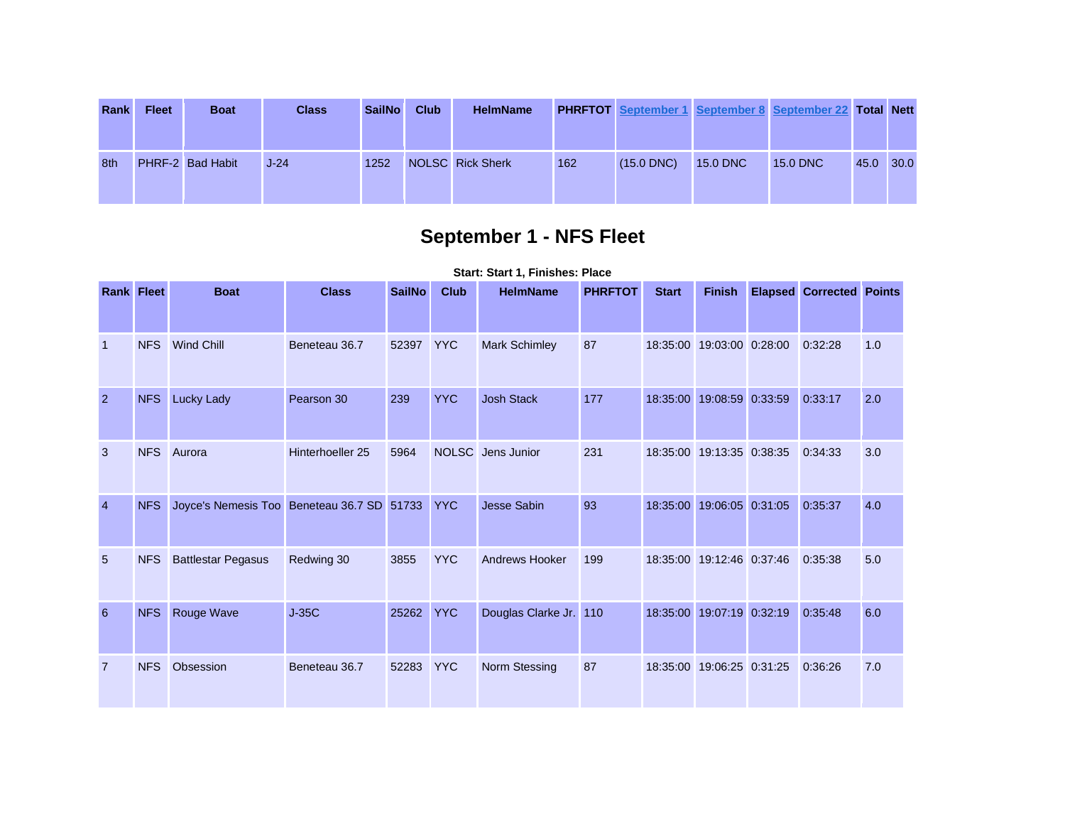| <b>Rank</b> | <b>Fleet</b> | <b>Boat</b>      | <b>Class</b> | <b>SailNo</b> | Club | <b>HelmName</b>  |     |              |                 | <b>PHRFTOT</b> September 1 September 8 September 22 Total Nett |      |      |
|-------------|--------------|------------------|--------------|---------------|------|------------------|-----|--------------|-----------------|----------------------------------------------------------------|------|------|
|             |              |                  |              |               |      |                  |     |              |                 |                                                                |      |      |
|             |              |                  |              |               |      |                  |     |              |                 |                                                                |      |      |
| 8th         |              | PHRF-2 Bad Habit | $J-24$       | 1252          |      | NOLSC Rick Sherk | 162 | $(15.0$ DNC) | <b>15.0 DNC</b> | <b>15.0 DNC</b>                                                | 45.0 | 30.0 |
|             |              |                  |              |               |      |                  |     |              |                 |                                                                |      |      |
|             |              |                  |              |               |      |                  |     |              |                 |                                                                |      |      |

### **September 1 - NFS Fleet**

| <b>Rank Fleet</b> |            | <b>Boat</b>                                | <b>Class</b>     | <b>SailNo</b> | <b>Club</b> | <b>HelmName</b>       | <b>PHRFTOT</b> | <b>Start</b> | <b>Finish</b>             | <b>Elapsed Corrected Points</b> |     |
|-------------------|------------|--------------------------------------------|------------------|---------------|-------------|-----------------------|----------------|--------------|---------------------------|---------------------------------|-----|
| $\overline{1}$    | <b>NFS</b> | <b>Wind Chill</b>                          | Beneteau 36.7    | 52397         | <b>YYC</b>  | <b>Mark Schimley</b>  | 87             |              | 18:35:00 19:03:00 0:28:00 | 0:32:28                         | 1.0 |
| $\overline{2}$    | <b>NFS</b> | Lucky Lady                                 | Pearson 30       | 239           | <b>YYC</b>  | <b>Josh Stack</b>     | 177            |              | 18:35:00 19:08:59 0:33:59 | 0:33:17                         | 2.0 |
| 3                 | <b>NFS</b> | Aurora                                     | Hinterhoeller 25 | 5964          |             | NOLSC Jens Junior     | 231            |              | 18:35:00 19:13:35 0:38:35 | 0:34:33                         | 3.0 |
| $\overline{4}$    | <b>NFS</b> | Joyce's Nemesis Too Beneteau 36.7 SD 51733 |                  |               | <b>YYC</b>  | <b>Jesse Sabin</b>    | 93             |              | 18:35:00 19:06:05 0:31:05 | 0:35:37                         | 4.0 |
| $5\phantom{1}$    | <b>NFS</b> | <b>Battlestar Pegasus</b>                  | Redwing 30       | 3855          | <b>YYC</b>  | <b>Andrews Hooker</b> | 199            |              | 18:35:00 19:12:46 0:37:46 | 0:35:38                         | 5.0 |
| 6                 | <b>NFS</b> | Rouge Wave                                 | $J-35C$          | 25262         | <b>YYC</b>  | Douglas Clarke Jr.    | 110            |              | 18:35:00 19:07:19 0:32:19 | 0:35:48                         | 6.0 |
| $\overline{7}$    | <b>NFS</b> | Obsession                                  | Beneteau 36.7    | 52283         | <b>YYC</b>  | Norm Stessing         | 87             |              | 18:35:00 19:06:25 0:31:25 | 0:36:26                         | 7.0 |

**Start: Start 1, Finishes: Place**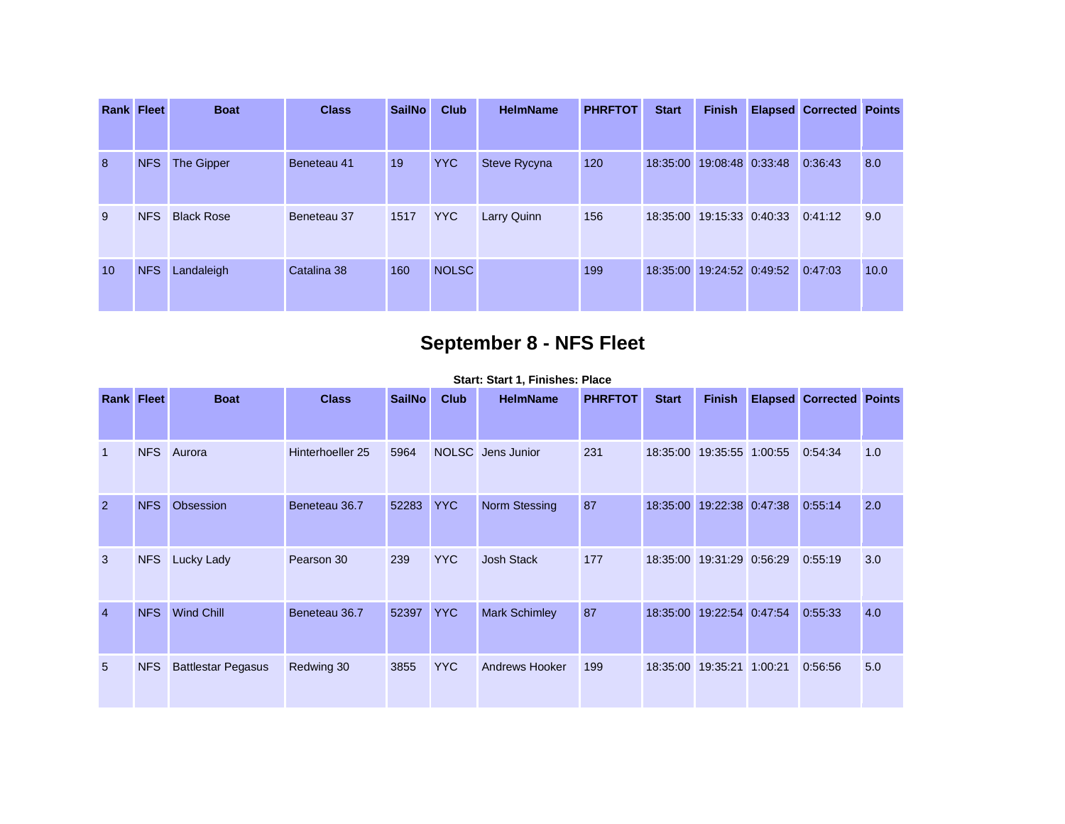| <b>Rank Fleet</b> |            | <b>Boat</b>       | <b>Class</b> | <b>SailNo</b> | <b>Club</b>  | <b>HelmName</b>    | <b>PHRFTOT</b> | <b>Start</b> | <b>Finish</b>             | <b>Elapsed Corrected Points</b> |      |
|-------------------|------------|-------------------|--------------|---------------|--------------|--------------------|----------------|--------------|---------------------------|---------------------------------|------|
|                   |            |                   |              |               |              |                    |                |              |                           |                                 |      |
| 8                 | <b>NFS</b> | The Gipper        | Beneteau 41  | 19            | <b>YYC</b>   | Steve Rycyna       | 120            |              | 18:35:00 19:08:48 0:33:48 | 0:36:43                         | 8.0  |
| 9                 | <b>NFS</b> | <b>Black Rose</b> | Beneteau 37  | 1517          | <b>YYC</b>   | <b>Larry Quinn</b> | 156            |              | 18:35:00 19:15:33 0:40:33 | 0:41:12                         | 9.0  |
| 10                | <b>NFS</b> | Landaleigh        | Catalina 38  | 160           | <b>NOLSC</b> |                    | 199            |              | 18:35:00 19:24:52 0:49:52 | 0:47:03                         | 10.0 |

## **September 8 - NFS Fleet**

|                |                   |                           |                  |               |             | Start: Start 1, Finishes: Place |                |              |                           |                                 |     |
|----------------|-------------------|---------------------------|------------------|---------------|-------------|---------------------------------|----------------|--------------|---------------------------|---------------------------------|-----|
|                | <b>Rank Fleet</b> | <b>Boat</b>               | <b>Class</b>     | <b>SailNo</b> | <b>Club</b> | <b>HelmName</b>                 | <b>PHRFTOT</b> | <b>Start</b> | <b>Finish</b>             | <b>Elapsed Corrected Points</b> |     |
| $\mathbf{1}$   | <b>NFS</b>        | Aurora                    | Hinterhoeller 25 | 5964          |             | NOLSC Jens Junior               | 231            |              | 18:35:00 19:35:55 1:00:55 | 0:54:34                         | 1.0 |
| $\overline{2}$ | <b>NFS</b>        | Obsession                 | Beneteau 36.7    | 52283         | <b>YYC</b>  | <b>Norm Stessing</b>            | 87             | 18:35:00     | 19:22:38 0:47:38          | 0:55:14                         | 2.0 |
| $\mathbf{3}$   | <b>NFS</b>        | Lucky Lady                | Pearson 30       | 239           | <b>YYC</b>  | <b>Josh Stack</b>               | 177            | 18:35:00     | 19:31:29 0:56:29          | 0:55:19                         | 3.0 |
| $\overline{4}$ | <b>NFS</b>        | <b>Wind Chill</b>         | Beneteau 36.7    | 52397         | <b>YYC</b>  | <b>Mark Schimley</b>            | 87             | 18:35:00     | 19:22:54 0:47:54          | 0:55:33                         | 4.0 |
| 5              | <b>NFS</b>        | <b>Battlestar Pegasus</b> | Redwing 30       | 3855          | <b>YYC</b>  | Andrews Hooker                  | 199            | 18:35:00     | 19:35:21 1:00:21          | 0:56:56                         | 5.0 |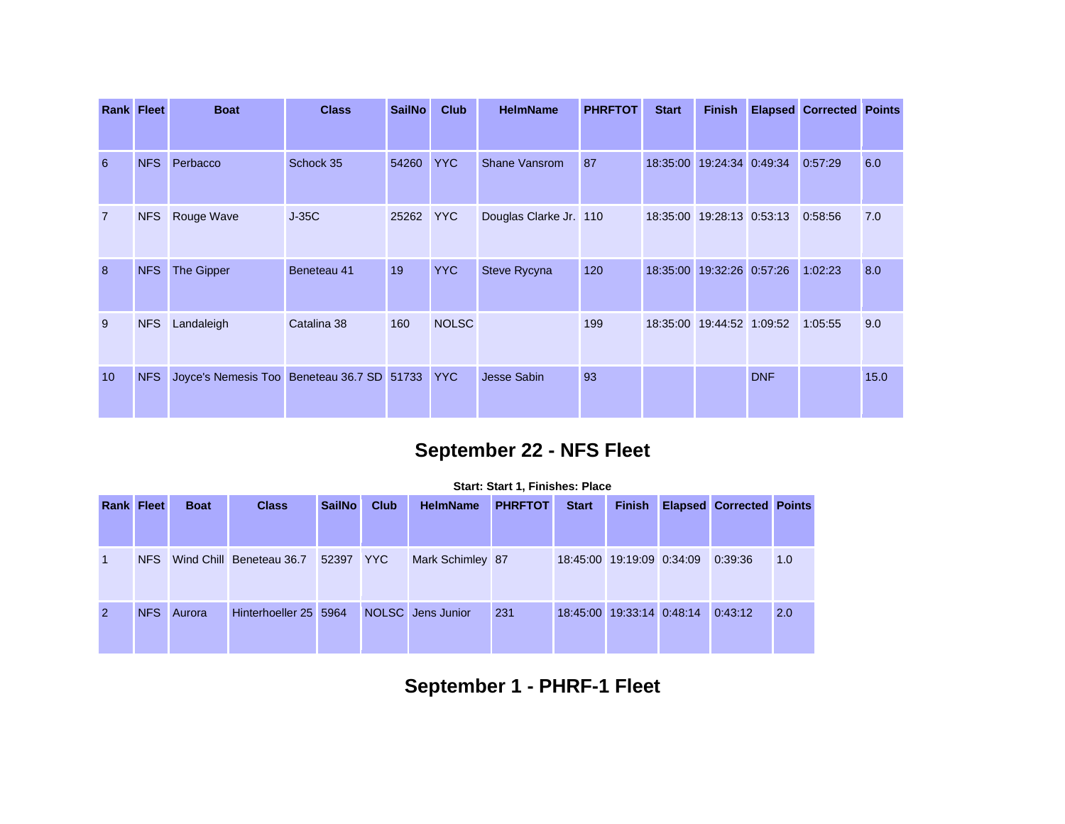|                | <b>Rank Fleet</b> | <b>Boat</b>                                | <b>Class</b> | <b>SailNo</b> | <b>Club</b>  | <b>HelmName</b>        | <b>PHRFTOT</b> | <b>Start</b> | <b>Finish</b>             |            | <b>Elapsed Corrected Points</b> |      |
|----------------|-------------------|--------------------------------------------|--------------|---------------|--------------|------------------------|----------------|--------------|---------------------------|------------|---------------------------------|------|
|                |                   |                                            |              |               |              |                        |                |              |                           |            |                                 |      |
| 6              | <b>NFS</b>        | Perbacco                                   | Schock 35    | 54260         | <b>YYC</b>   | <b>Shane Vansrom</b>   | 87             |              | 18:35:00 19:24:34 0:49:34 |            | 0:57:29                         | 6.0  |
| $\overline{7}$ | <b>NFS</b>        | Rouge Wave                                 | $J-35C$      | 25262         | <b>YYC</b>   | Douglas Clarke Jr. 110 |                |              | 18:35:00 19:28:13 0:53:13 |            | 0:58:56                         | 7.0  |
| 8              | <b>NFS</b>        | The Gipper                                 | Beneteau 41  | 19            | <b>YYC</b>   | Steve Rycyna           | 120            |              | 18:35:00 19:32:26 0:57:26 |            | 1:02:23                         | 8.0  |
| 9              | <b>NFS</b>        | Landaleigh                                 | Catalina 38  | 160           | <b>NOLSC</b> |                        | 199            |              | 18:35:00 19:44:52 1:09:52 |            | 1:05:55                         | 9.0  |
| 10             | <b>NFS</b>        | Joyce's Nemesis Too Beneteau 36.7 SD 51733 |              |               | <b>YYC</b>   | Jesse Sabin            | 93             |              |                           | <b>DNF</b> |                                 | 15.0 |

### **September 22 - NFS Fleet**

| <u>start: start ::::::::::stres::::::::</u> |                   |             |                                    |               |             |                   |                |              |                           |  |                                 |     |
|---------------------------------------------|-------------------|-------------|------------------------------------|---------------|-------------|-------------------|----------------|--------------|---------------------------|--|---------------------------------|-----|
|                                             | <b>Rank Fleet</b> | <b>Boat</b> | <b>Class</b>                       | <b>SailNo</b> | <b>Club</b> | <b>HelmName</b>   | <b>PHRFTOT</b> | <b>Start</b> | <b>Finish</b>             |  | <b>Elapsed Corrected Points</b> |     |
| -1                                          | <b>NFS</b>        |             | Wind Chill Beneteau 36.7 52397 YYC |               |             | Mark Schimley 87  |                |              | 18:45:00 19:19:09 0:34:09 |  | 0:39:36                         | 1.0 |
| $\overline{2}$                              |                   | NFS Aurora  | Hinterhoeller 25 5964              |               |             | NOLSC Jens Junior | 231            |              | 18:45:00 19:33:14 0:48:14 |  | 0:43:12                         | 2.0 |

#### **Start: Start 1, Finishes: Place**

### **September 1 - PHRF-1 Fleet**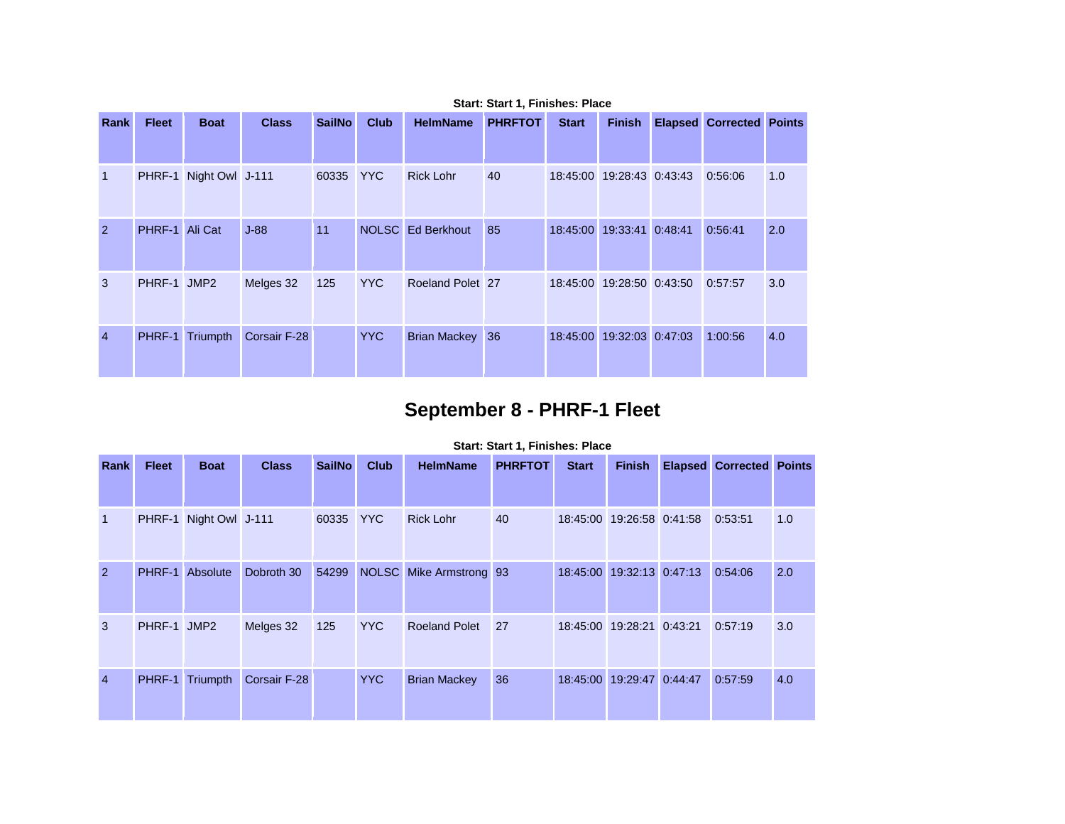|                | <b>Start: Start 1, Finishes: Place</b> |                        |                     |               |             |                   |                |              |                           |  |                                 |     |  |
|----------------|----------------------------------------|------------------------|---------------------|---------------|-------------|-------------------|----------------|--------------|---------------------------|--|---------------------------------|-----|--|
| Rank           | <b>Fleet</b>                           | <b>Boat</b>            | <b>Class</b>        | <b>SailNo</b> | <b>Club</b> | <b>HelmName</b>   | <b>PHRFTOT</b> | <b>Start</b> | <b>Finish</b>             |  | <b>Elapsed Corrected Points</b> |     |  |
| 1              |                                        | PHRF-1 Night Owl J-111 |                     | 60335         | <b>YYC</b>  | <b>Rick Lohr</b>  | 40             |              | 18:45:00 19:28:43 0:43:43 |  | 0:56:06                         | 1.0 |  |
| $\mathcal{P}$  | PHRF-1 Ali Cat                         |                        | $J-88$              | 11            |             | NOLSC Ed Berkhout | 85             | 18:45:00     | 19:33:41 0:48:41          |  | 0:56:41                         | 2.0 |  |
| 3              | PHRF-1 JMP2                            |                        | Melges 32           | 125           | <b>YYC</b>  | Roeland Polet 27  |                |              | 18:45:00 19:28:50 0:43:50 |  | 0:57:57                         | 3.0 |  |
| $\overline{4}$ | PHRF-1                                 | Triumpth               | <b>Corsair F-28</b> |               | <b>YYC</b>  | Brian Mackey 36   |                | 18:45:00     | 19:32:03 0:47:03          |  | 1:00:56                         | 4.0 |  |

# **September 8 - PHRF-1 Fleet**

|                |              |                 |              |               | Start: Start 1, Finishes: Place |                      |                |              |                           |                |                         |     |
|----------------|--------------|-----------------|--------------|---------------|---------------------------------|----------------------|----------------|--------------|---------------------------|----------------|-------------------------|-----|
| Rank           | <b>Fleet</b> | <b>Boat</b>     | <b>Class</b> | <b>SailNo</b> | <b>Club</b>                     | <b>HelmName</b>      | <b>PHRFTOT</b> | <b>Start</b> | <b>Finish</b>             | <b>Elapsed</b> | <b>Corrected Points</b> |     |
| 1              | PHRF-1       | Night Owl J-111 |              | 60335         | <b>YYC</b>                      | <b>Rick Lohr</b>     | 40             |              | 18:45:00 19:26:58 0:41:58 |                | 0:53:51                 | 1.0 |
| $\overline{2}$ | PHRF-1       | Absolute        | Dobroth 30   | 54299         | <b>NOLSC</b>                    | Mike Armstrong 93    |                | 18:45:00     | 19:32:13 0:47:13          |                | 0:54:06                 | 2.0 |
| 3              | PHRF-1 JMP2  |                 | Melges 32    | 125           | <b>YYC</b>                      | <b>Roeland Polet</b> | 27             |              | 18:45:00 19:28:21 0:43:21 |                | 0:57:19                 | 3.0 |
| $\overline{4}$ | PHRF-1       | Triumpth        | Corsair F-28 |               | <b>YYC</b>                      | <b>Brian Mackey</b>  | 36             | 18:45:00     | 19:29:47 0:44:47          |                | 0:57:59                 | 4.0 |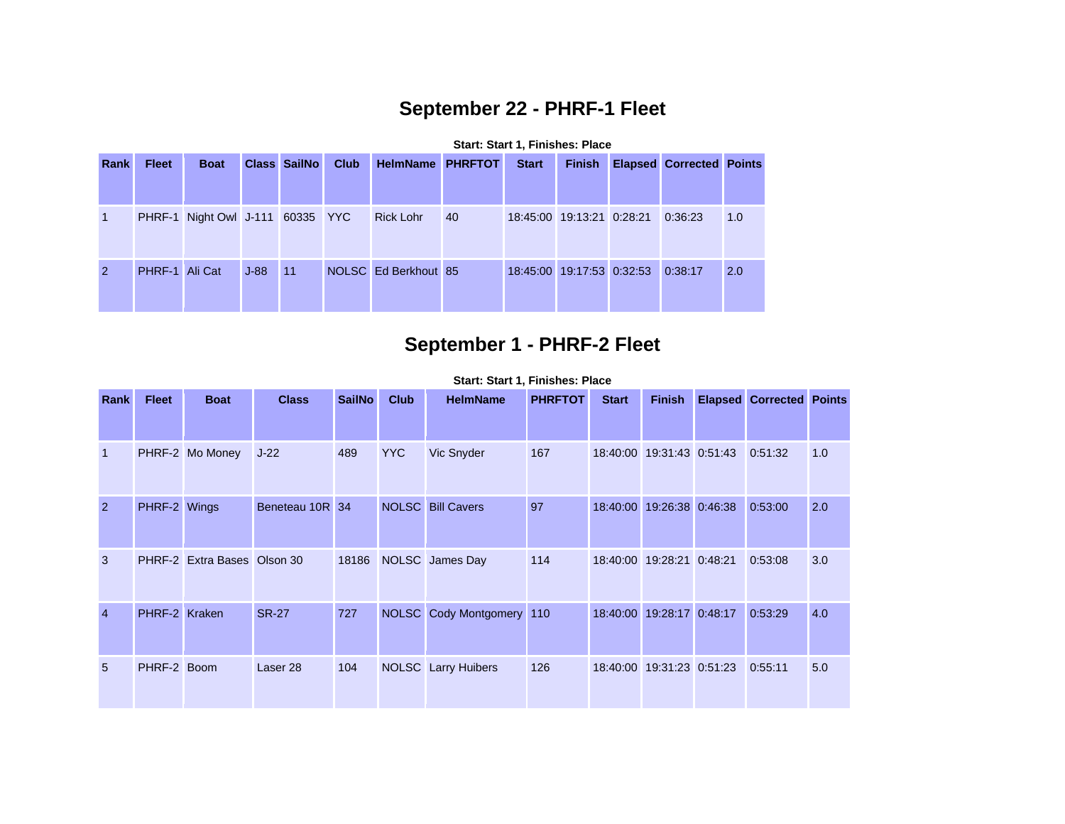## **September 22 - PHRF-1 Fleet**

|               |                |                                  |        |                     |             |                         |    | Start: Start 1, Finishes: Place |                           |                                 |     |
|---------------|----------------|----------------------------------|--------|---------------------|-------------|-------------------------|----|---------------------------------|---------------------------|---------------------------------|-----|
| Rank          | <b>Fleet</b>   | <b>Boat</b>                      |        | <b>Class SailNo</b> | <b>Club</b> | <b>HelmName PHRFTOT</b> |    | <b>Start</b>                    | <b>Finish</b>             | <b>Elapsed Corrected Points</b> |     |
| $\mathbf{1}$  |                | PHRF-1 Night Owl J-111 60335 YYC |        |                     |             | <b>Rick Lohr</b>        | 40 |                                 | 18:45:00 19:13:21 0:28:21 | 0:36:23                         | 1.0 |
| $\mathcal{P}$ | PHRF-1 Ali Cat |                                  | $J-88$ | 11                  |             | NOLSC Ed Berkhout 85    |    |                                 | 18:45:00 19:17:53 0:32:53 | 0:38:17                         | 2.0 |

**Start: Start 1, Finishes: Place**

## **September 1 - PHRF-2 Fleet**

|                | Start: Start 1, Finishes: Place |                             |                     |               |              |                            |                |              |                           |         |                                 |     |  |  |
|----------------|---------------------------------|-----------------------------|---------------------|---------------|--------------|----------------------------|----------------|--------------|---------------------------|---------|---------------------------------|-----|--|--|
| Rank           | <b>Fleet</b>                    | <b>Boat</b>                 | <b>Class</b>        | <b>SailNo</b> | <b>Club</b>  | <b>HelmName</b>            | <b>PHRFTOT</b> | <b>Start</b> | <b>Finish</b>             |         | <b>Elapsed Corrected Points</b> |     |  |  |
|                |                                 | PHRF-2 Mo Money             | $J-22$              | 489           | <b>YYC</b>   | Vic Snyder                 | 167            | 18:40:00     | 19:31:43 0:51:43          |         | 0:51:32                         | 1.0 |  |  |
| $\overline{2}$ | PHRF-2 Wings                    |                             | Beneteau 10R 34     |               | <b>NOLSC</b> | <b>Bill Cavers</b>         | 97             | 18:40:00     | 19:26:38                  | 0:46:38 | 0:53:00                         | 2.0 |  |  |
| 3              |                                 | PHRF-2 Extra Bases Olson 30 |                     | 18186         |              | NOLSC James Day            | 114            |              | 18:40:00 19:28:21 0:48:21 |         | 0:53:08                         | 3.0 |  |  |
| $\overline{4}$ | PHRF-2 Kraken                   |                             | <b>SR-27</b>        | 727           |              | NOLSC Cody Montgomery 110  |                | 18:40:00     | 19:28:17 0:48:17          |         | 0:53:29                         | 4.0 |  |  |
| 5              | PHRF-2 Boom                     |                             | Laser <sub>28</sub> | 104           |              | <b>NOLSC</b> Larry Huibers | 126            |              | 18:40:00 19:31:23 0:51:23 |         | 0:55:11                         | 5.0 |  |  |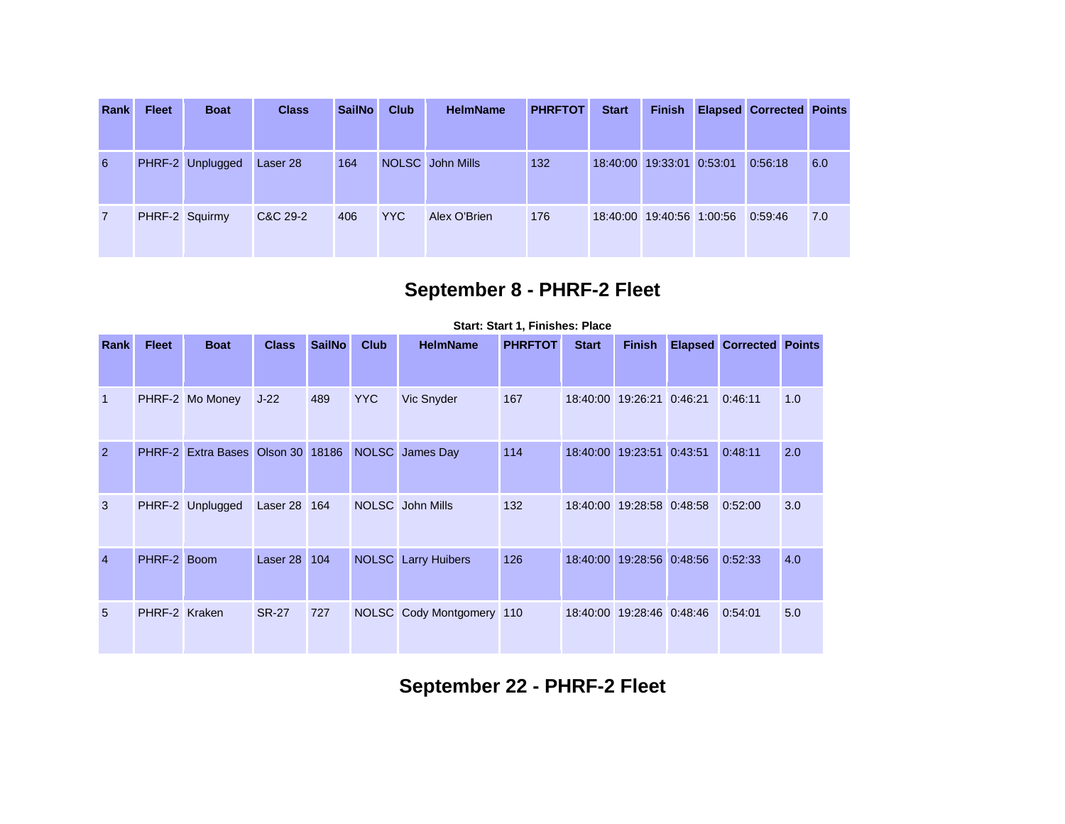| <b>Rank</b> | <b>Fleet</b>   | <b>Boat</b>      | <b>Class</b> | <b>SailNo</b> | Club | <b>HelmName</b>  | <b>PHRFTOT</b> | <b>Start</b> | <b>Finish</b>             | <b>Elapsed Corrected Points</b> |     |
|-------------|----------------|------------------|--------------|---------------|------|------------------|----------------|--------------|---------------------------|---------------------------------|-----|
|             |                |                  |              |               |      |                  |                |              |                           |                                 |     |
| 6           |                | PHRF-2 Unplugged | Laser 28     | 164           |      | NOLSC John Mills | 132            |              | 18:40:00 19:33:01 0:53:01 | 0:56:18                         | 6.0 |
| 7           | PHRF-2 Squirmy |                  | C&C 29-2     | 406           | YYC. | Alex O'Brien     | 176            |              | 18:40:00 19:40:56 1:00:56 | 0:59:46                         | 7.0 |

## **September 8 - PHRF-2 Fleet**

|                | Start: Start 1, Finishes: Place |                            |              |               |              |                           |                |              |                           |         |                                 |     |  |  |
|----------------|---------------------------------|----------------------------|--------------|---------------|--------------|---------------------------|----------------|--------------|---------------------------|---------|---------------------------------|-----|--|--|
| <b>Rank</b>    | <b>Fleet</b>                    | <b>Boat</b>                | <b>Class</b> | <b>SailNo</b> | <b>Club</b>  | <b>HelmName</b>           | <b>PHRFTOT</b> | <b>Start</b> | <b>Finish</b>             |         | <b>Elapsed Corrected Points</b> |     |  |  |
| 1              |                                 | PHRF-2 Mo Money            | $J-22$       | 489           | <b>YYC</b>   | Vic Snyder                | 167            |              | 18:40:00 19:26:21 0:46:21 |         | 0:46:11                         | 1.0 |  |  |
| 2              | PHRF-2                          | Extra Bases Olson 30 18186 |              |               | <b>NOLSC</b> | James Day                 | 114            | 18:40:00     | 19:23:51                  | 0:43:51 | 0:48:11                         | 2.0 |  |  |
| 3              | PHRF-2                          | Unplugged                  | Laser 28 164 |               |              | NOLSC John Mills          | 132            |              | 18:40:00 19:28:58 0:48:58 |         | 0:52:00                         | 3.0 |  |  |
| $\overline{4}$ | PHRF-2 Boom                     |                            | Laser 28     | 104           | <b>NOLSC</b> | <b>Larry Huibers</b>      | 126            |              | 18:40:00 19:28:56 0:48:56 |         | 0:52:33                         | 4.0 |  |  |
| 5              | PHRF-2 Kraken                   |                            | <b>SR-27</b> | 727           |              | NOLSC Cody Montgomery 110 |                |              | 18:40:00 19:28:46 0:48:46 |         | 0:54:01                         | 5.0 |  |  |

**September 22 - PHRF-2 Fleet**